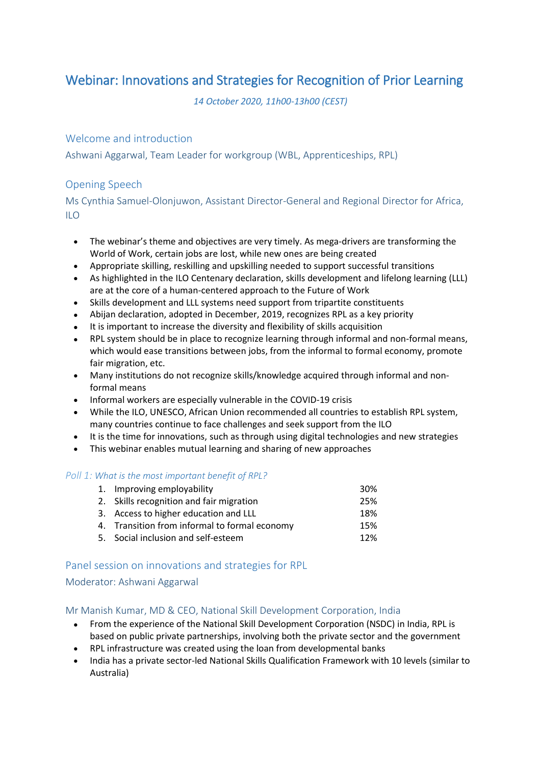# Webinar: Innovations and Strategies for Recognition of Prior Learning

*14 October 2020, 11h00-13h00 (CEST)*

# Welcome and introduction

Ashwani Aggarwal, Team Leader for workgroup (WBL, Apprenticeships, RPL)

# Opening Speech

Ms Cynthia Samuel-Olonjuwon, Assistant Director-General and Regional Director for Africa,  $\overline{11}$ O

- The webinar's theme and objectives are very timely. As mega-drivers are transforming the World of Work, certain jobs are lost, while new ones are being created
- Appropriate skilling, reskilling and upskilling needed to support successful transitions
- As highlighted in the ILO Centenary declaration, skills development and lifelong learning (LLL) are at the core of a human-centered approach to the Future of Work
- Skills development and LLL systems need support from tripartite constituents
- Abijan declaration, adopted in December, 2019, recognizes RPL as a key priority
- It is important to increase the diversity and flexibility of skills acquisition
- RPL system should be in place to recognize learning through informal and non-formal means, which would ease transitions between jobs, from the informal to formal economy, promote fair migration, etc.
- Many institutions do not recognize skills/knowledge acquired through informal and nonformal means
- Informal workers are especially vulnerable in the COVID-19 crisis
- While the ILO, UNESCO, African Union recommended all countries to establish RPL system, many countries continue to face challenges and seek support from the ILO
- It is the time for innovations, such as through using digital technologies and new strategies
- This webinar enables mutual learning and sharing of new approaches

#### *Poll 1: What is the most important benefit of RPL?*

| 1. Improving employability                    | 30% |
|-----------------------------------------------|-----|
| 2. Skills recognition and fair migration      | 25% |
| 3. Access to higher education and LLL         | 18% |
| 4. Transition from informal to formal economy | 15% |
| 5. Social inclusion and self-esteem           | 12% |

# Panel session on innovations and strategies for RPL

#### Moderator: Ashwani Aggarwal

#### Mr Manish Kumar, MD & CEO, National Skill Development Corporation, India

- From the experience of the National Skill Development Corporation (NSDC) in India, RPL is based on public private partnerships, involving both the private sector and the government
- RPL infrastructure was created using the loan from developmental banks
- India has a private sector-led National Skills Qualification Framework with 10 levels (similar to Australia)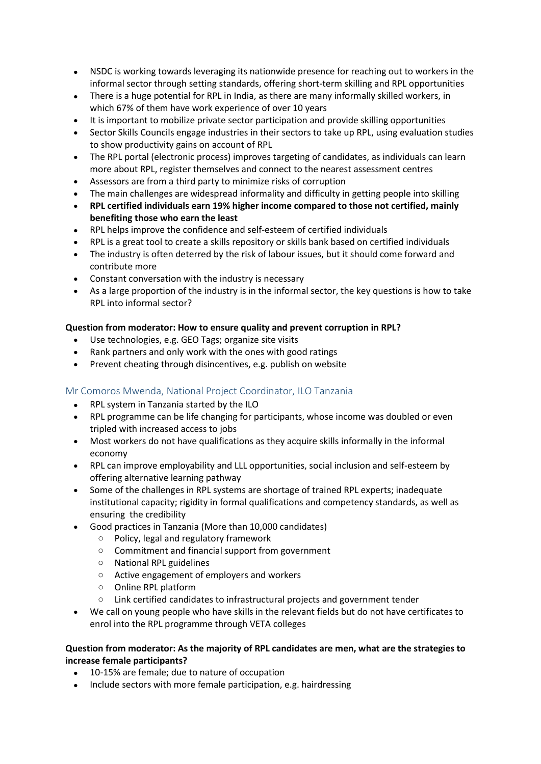- NSDC is working towards leveraging its nationwide presence for reaching out to workers in the informal sector through setting standards, offering short-term skilling and RPL opportunities
- There is a huge potential for RPL in India, as there are many informally skilled workers, in which 67% of them have work experience of over 10 years
- It is important to mobilize private sector participation and provide skilling opportunities
- Sector Skills Councils engage industries in their sectors to take up RPL, using evaluation studies to show productivity gains on account of RPL
- The RPL portal (electronic process) improves targeting of candidates, as individuals can learn more about RPL, register themselves and connect to the nearest assessment centres
- Assessors are from a third party to minimize risks of corruption
- The main challenges are widespread informality and difficulty in getting people into skilling
- **RPL certified individuals earn 19% higher income compared to those not certified, mainly benefiting those who earn the least**
- RPL helps improve the confidence and self-esteem of certified individuals
- RPL is a great tool to create a skills repository or skills bank based on certified individuals
- The industry is often deterred by the risk of labour issues, but it should come forward and contribute more
- Constant conversation with the industry is necessary
- As a large proportion of the industry is in the informal sector, the key questions is how to take RPL into informal sector?

## **Question from moderator: How to ensure quality and prevent corruption in RPL?**

- Use technologies, e.g. GEO Tags; organize site visits
- Rank partners and only work with the ones with good ratings
- Prevent cheating through disincentives, e.g. publish on website

# Mr Comoros Mwenda, National Project Coordinator, ILO Tanzania

- RPL system in Tanzania started by the ILO
- RPL programme can be life changing for participants, whose income was doubled or even tripled with increased access to jobs
- Most workers do not have qualifications as they acquire skills informally in the informal economy
- RPL can improve employability and LLL opportunities, social inclusion and self-esteem by offering alternative learning pathway
- Some of the challenges in RPL systems are shortage of trained RPL experts; inadequate institutional capacity; rigidity in formal qualifications and competency standards, as well as ensuring the credibility
- Good practices in Tanzania (More than 10,000 candidates)
	- o Policy, legal and regulatory framework
	- o Commitment and financial support from government
	- o National RPL guidelines
	- o Active engagement of employers and workers
	- o Online RPL platform
	- o Link certified candidates to infrastructural projects and government tender
- We call on young people who have skills in the relevant fields but do not have certificates to enrol into the RPL programme through VETA colleges

#### **Question from moderator: As the majority of RPL candidates are men, what are the strategies to increase female participants?**

- 10-15% are female; due to nature of occupation
- Include sectors with more female participation, e.g. hairdressing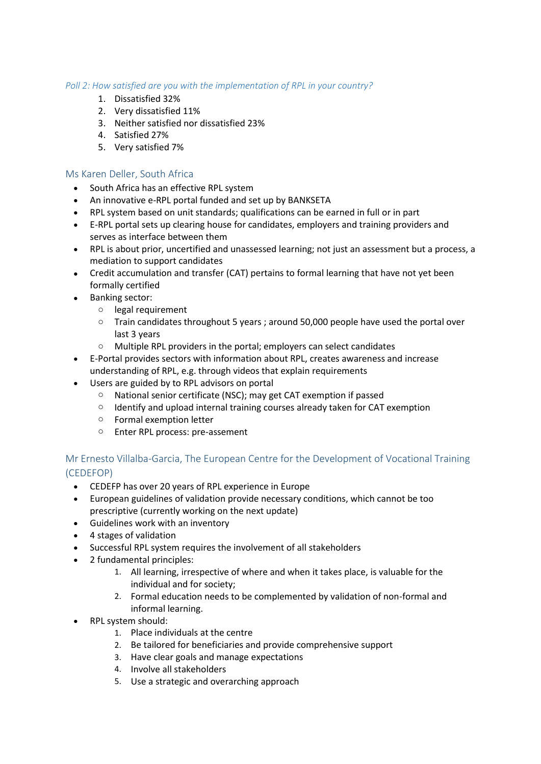#### *Poll 2: How satisfied are you with the implementation of RPL in your country?*

- 1. Dissatisfied 32%
- 2. Very dissatisfied 11%
- 3. Neither satisfied nor dissatisfied 23%
- 4. Satisfied 27%
- 5. Very satisfied 7%

#### Ms Karen Deller, South Africa

- South Africa has an effective RPL system
- An innovative e-RPL portal funded and set up by BANKSETA
- RPL system based on unit standards; qualifications can be earned in full or in part
- E-RPL portal sets up clearing house for candidates, employers and training providers and serves as interface between them
- RPL is about prior, uncertified and unassessed learning; not just an assessment but a process, a mediation to support candidates
- Credit accumulation and transfer (CAT) pertains to formal learning that have not yet been formally certified
- Banking sector:
	- o legal requirement
	- o Train candidates throughout 5 years ; around 50,000 people have used the portal over last 3 years
	- o Multiple RPL providers in the portal; employers can select candidates
- E-Portal provides sectors with information about RPL, creates awareness and increase understanding of RPL, e.g. through videos that explain requirements
- Users are guided by to RPL advisors on portal
	- o National senior certificate (NSC); may get CAT exemption if passed
	- o Identify and upload internal training courses already taken for CAT exemption
	- o Formal exemption letter
	- o Enter RPL process: pre-assement

# Mr Ernesto Villalba-Garcia, The European Centre for the Development of Vocational Training (CEDEFOP)

- CEDEFP has over 20 years of RPL experience in Europe
- European guidelines of validation provide necessary conditions, which cannot be too prescriptive (currently working on the next update)
- Guidelines work with an inventory
- 4 stages of validation
- Successful RPL system requires the involvement of all stakeholders
- 2 fundamental principles:
	- 1. All learning, irrespective of where and when it takes place, is valuable for the individual and for society;
	- 2. Formal education needs to be complemented by validation of non-formal and informal learning.
- RPL system should:
	- 1. Place individuals at the centre
	- 2. Be tailored for beneficiaries and provide comprehensive support
	- 3. Have clear goals and manage expectations
	- 4. Involve all stakeholders
	- 5. Use a strategic and overarching approach